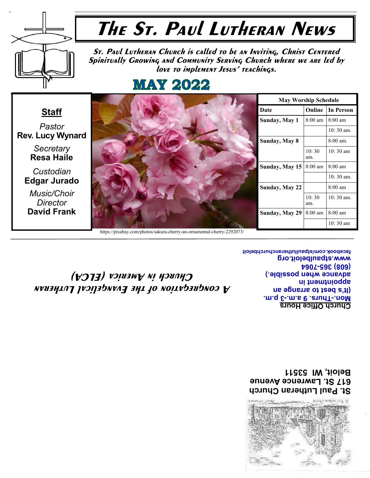

St. Paul Lutheran Church 617 St. Lawrence Avenue Beloit, WI 53511

# A congregation of the Evangelical Lutheran Church in America (ELCA)

Church Office Hours Spring & -.m.s 0 .evull-.noM (It's best to arrange an an industrial under Bayance when possible.) **7902-998 (809)** Www.stpaulbeloit.org Iacebook.com/stpaullutheranchurchbeloit

**Resa Haile** Custodian **Edgar Jurado** Music/Choir

Director David Frank

https://pixabay.com/photos/sakura-cherry-an-ornamental-cherry-2292073/

| <b>May Worship Schedule</b> |                   |                    |  |  |
|-----------------------------|-------------------|--------------------|--|--|
| Date                        | Online            | <b>In Person</b>   |  |  |
| Sunday, May 1               | $8:00 \text{ am}$ | $8:00 \text{ am}$  |  |  |
|                             |                   | $10:30$ am.        |  |  |
| Sunday, May 8               |                   | $8:00$ am.         |  |  |
|                             | 10:30<br>am.      | $10:30 \text{ am}$ |  |  |
| Sunday, May 15              | $8:00 \text{ am}$ | $8:00 \text{ am}$  |  |  |
|                             |                   | 10:30 am.          |  |  |
| Sunday, May 22              |                   | $8:00 \text{ am}$  |  |  |
|                             | 10:30<br>am.      | $10:30$ am.        |  |  |
| Sunday, May 29              | 8:00 am           | $8:00 \text{ am}$  |  |  |
|                             |                   | $10:30 \text{ am}$ |  |  |

Staff Pastor Rev. Lucy Wynard Secretary

St. Paul Lutheran Church is called to be an Inviting, Christ Centered Spiritually Growing and Community Serving Church where we are led by love to implement Jesus' teachings.

# **MAY 2022**



# The St. Paul Lutheran News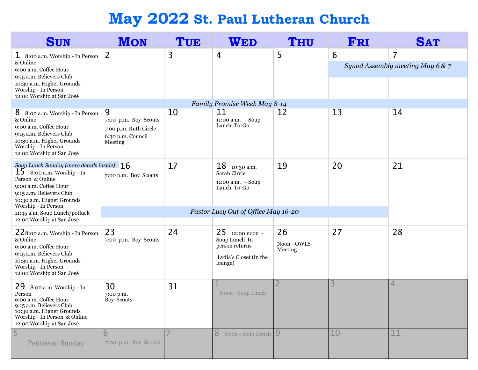# May 2022 St. Paul Lutheran Church

| <b>SUN</b>                                                                                                                                                                                                     | <b>MON</b>                                                                                      | TUE                                                                                          | WED                                                                                      | <b>THU</b>                   | FRI | <b>SAT</b>                            |
|----------------------------------------------------------------------------------------------------------------------------------------------------------------------------------------------------------------|-------------------------------------------------------------------------------------------------|----------------------------------------------------------------------------------------------|------------------------------------------------------------------------------------------|------------------------------|-----|---------------------------------------|
| 1 8:00 a.m. Worship - In Person<br>& Online<br>9:00 a.m. Coffee Hour<br>9:15 a.m. Believers Club<br>10:30 a.m. Higher Grounds<br>Worship - In Person<br>12:00 Worship at San José                              | $\overline{2}$                                                                                  | 3                                                                                            | 4                                                                                        | 5                            | 6   | 7<br>Synod Assembly meeting May 6 & 7 |
|                                                                                                                                                                                                                |                                                                                                 |                                                                                              | Family Promise Week May 8-14                                                             |                              |     |                                       |
| 8<br>8:00 a.m. Worship - In Person<br>& Online<br>9:00 a.m. Coffee Hour<br>9:15 a.m. Believers Club<br>10:30 a.m. Higher Grounds<br>Worship - In Person<br>12:00 Worship at San José                           | $\overline{9}$<br>7:00 p.m. Boy Scouts<br>1:00 p.m. Ruth Circle<br>6:30 p.m. Council<br>Meeting | 10                                                                                           | 11<br>11:00 a.m. - Soup<br>Lunch To-Go                                                   | 12                           | 13  | 14                                    |
| Soup Lunch Sunday (more details inside) 16<br>15<br>8:00 a.m. Worship - In<br>Person & Online<br>9:00 a.m. Coffee Hour<br>9:15 a.m. Believers Club<br>10:30 a.m. Higher Grounds<br>Worship - In Person         | 7:00 p.m. Boy Scouts                                                                            | 17<br>19<br>20<br>21<br>18<br>10:30 a.m.<br>Sarah Circle<br>11:00 a.m. - Soup<br>Lunch To-Go |                                                                                          |                              |     |                                       |
| 11:45 a.m. Soup Lunch/potluck                                                                                                                                                                                  |                                                                                                 |                                                                                              | Pastor Lucy Out of Office May 16-20                                                      |                              |     |                                       |
| 12:00 Worship at San José<br>228:00 a.m. Worship - In Person<br>& Online<br>9:00 a.m. Coffee Hour<br>9:15 a.m. Believers Club<br>10:30 a.m. Higher Grounds<br>Worship - In Person<br>12:00 Worship at San José | 23<br>7:00 p.m. Boy Scouts                                                                      | 24                                                                                           | 25 12:00 noon -<br>Soup Lunch In-<br>person returns<br>Lydia's Closet (in the<br>lounge) | 26<br>Noon - OWLS<br>Meeting | 27  | 28                                    |
| 29<br>8:00 a.m. Worship - In<br>Person<br>9:00 a.m. Coffee Hour<br>9:15 a.m. Believers Club<br>10:30 a.m. Higher Grounds<br>Worship - In Person & Online<br>12:00 Worship at San José                          | 30<br>7:00 p.m.<br>Boy Scouts                                                                   | 31                                                                                           | Noon - Soup Lunch                                                                        | $\overline{2}$               | 3   | 4                                     |
| 5<br><b>Pentecost Sunday</b>                                                                                                                                                                                   | 6<br>7:00 p.m. Boy Scouts                                                                       |                                                                                              | 8 Noon - Soup Lunch                                                                      | 9                            | 10  | 11                                    |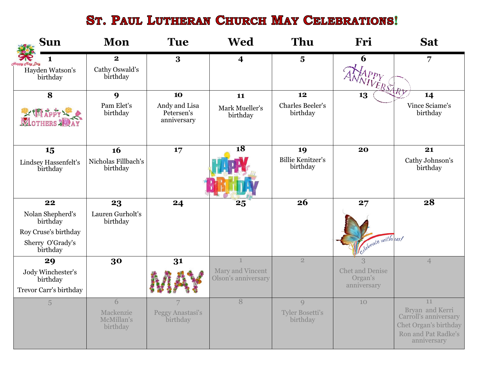# ST. PAUL LUTHERAN CHURCH MAY CELEBRATIONS!

| <b>Sun</b>                       | <b>Mon</b>                          | <b>Tue</b>                                 | <b>Wed</b>                              | Thu                                  | Fri                               | <b>Sat</b>                                                                                              |
|----------------------------------|-------------------------------------|--------------------------------------------|-----------------------------------------|--------------------------------------|-----------------------------------|---------------------------------------------------------------------------------------------------------|
| Happy Clay Day                   | $\bf{2}$                            | 3                                          | 4                                       | $\overline{\mathbf{5}}$              | 6                                 | 7                                                                                                       |
| Hayden Watson's<br>birthday      | Cathy Oswald's<br>birthday          |                                            |                                         |                                      | TIVERSARY                         |                                                                                                         |
| 8                                | 9                                   | 10                                         | 11                                      | 12                                   | 13                                | 14                                                                                                      |
| L' Thappy Le                     | Pam Elet's<br>birthday              | Andy and Lisa<br>Petersen's<br>anniversary | Mark Mueller's<br>birthday              | Charles Beeler's<br>birthday         |                                   | Vince Sciame's<br>birthday                                                                              |
| 15                               | 16                                  | 17                                         | $\overline{18}$                         | 19                                   | 20                                | 21                                                                                                      |
| Lindsey Hassenfelt's<br>birthday | Nicholas Fillbach's<br>birthday     |                                            |                                         | <b>Billie Kenitzer's</b><br>birthday |                                   | Cathy Johnson's<br>birthday                                                                             |
|                                  |                                     |                                            |                                         |                                      |                                   |                                                                                                         |
| 22                               | 23                                  | 24                                         | 25                                      | 26                                   | 27                                | 28                                                                                                      |
| Nolan Shepherd's<br>birthday     | Lauren Gurholt's<br>birthday        |                                            |                                         |                                      |                                   |                                                                                                         |
| Roy Cruse's birthday             |                                     |                                            |                                         |                                      |                                   |                                                                                                         |
| Sherry O'Grady's<br>birthday     |                                     |                                            |                                         |                                      | Celebrate with us!                |                                                                                                         |
| 29                               | 30                                  | 31                                         | $\mathbf{1}$                            | $\overline{2}$                       | 3                                 | $\overline{4}$                                                                                          |
| Jody Winchester's<br>birthday    |                                     |                                            | Mary and Vincent<br>Olson's anniversary |                                      | <b>Chet and Denise</b><br>Organ's |                                                                                                         |
| Trevor Carr's birthday           |                                     |                                            |                                         |                                      | anniversary                       |                                                                                                         |
| 5                                | 6                                   |                                            | 8                                       | $\overline{Q}$                       | 10                                | 11                                                                                                      |
|                                  | Mackenzie<br>McMillan's<br>birthday | Peggy Anastasi's<br>birthday               |                                         | <b>Tyler Bosetti's</b><br>birthday   |                                   | Bryan and Kerri<br>Carroll's anniversary<br>Chet Organ's birthday<br>Ron and Pat Radke's<br>anniversary |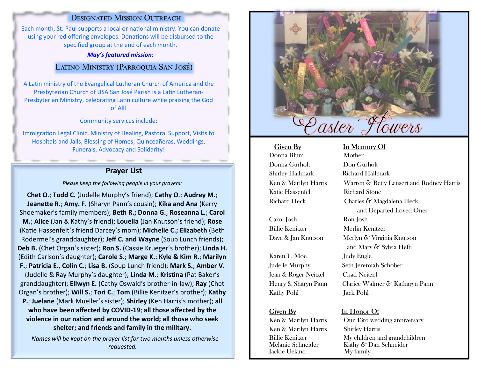# DESIGNATED MISSION OUTREACH

Each month, St. Paul supports a local or national ministry. You can donate using your red offering envelopes. Donations will be disbursed to the specified group at the end of each month.

#### May's featured mission:

## LATINO MINISTRY (PARROQUIA SAN JOSÉ)

A Latin ministry of the Evangelical Lutheran Church of America and the Presbyterian Church of USA San José Parish is a Latin Lutheran-Presbyterian Ministry, celebrating Latin culture while praising the God of All!

Community services include:

Immigration Legal Clinic, Ministry of Healing, Pastoral Support, Visits to Hospitals and Jails, Blessing of Homes, Quinceañeras, Weddings, Funerals, Advocacy and Solidarity!

# Prayer List

Please keep the following people in your prayers:

Chet O.; Todd C. (Judelle Murphy's friend); Cathy O.; Audrey M.; Jeanette R.; Amy. F. (Sharyn Pann's cousin); Kika and Ana (Kerry Shoemaker's family members); Beth R.; Donna G.; Roseanna L.; Carol M.; Alice (Jan & Kathy's friend); Louella (Jan Knutson's friend); Rose (Katie Hassenfelt's friend Darcey's mom); Michelle C.; Elizabeth (Beth Rodermel's granddaughter); Jeff C. and Wayne (Soup Lunch friends); Deb B. (Chet Organ's sister); Ron S. (Cassie Krueger's brother); Linda H. (Edith Carlson's daughter); Carole S.; Marge K.; Kyle & Kim R.; Marilyn F.; Patricia E., Colin C.; Lisa B. (Soup Lunch friend); Mark S.; Amber V.

(Judelle & Ray Murphy's daughter); Linda M.; Kristina (Pat Baker's granddaughter); Ellwyn E. (Cathy Oswald's brother-in-law); Ray (Chet Organ's brother); Will S.; Tori C.; Tom (Billie Kenitzer's brother); Kathy P.; Juelane (Mark Mueller's sister); Shirley (Ken Harris's mother); all who have been affected by COVID-19; all those affected by the violence in our nation and around the world; all those who seek shelter; and friends and family in the military.

Names will be kept on the prayer list for two months unless otherwise requested.



Donna Blum Mother Donna Gurholt Don Gurholt Shirley Hallmark Richard Hallmark Katie Hassenfelt Richard Stone

Carol Josh Ron Josh Billie Kenitzer Merlin Kenitzer

Karen L. Moe Judy Engle Jean & Roger Neitzel Chad Neitzel Kathy Pohl Jack Pohl

Ken & Marilyn Harris Shirley Harris Iackie Ueland

### Given By In Memory Of

Ken & Marilyn Harris Warren & Betty Lensert and Rodney Harris Richard Heck Charles & Magdalena Heck and Departed Loved Ones Dave & Jan Knutson Merlyn & Virginia Knutson and Marv & Sylvia Hefti Judelle Murphy Seth Jeremiah Schober Henry & Sharyn Pann Clarice Walmer & Katharyn Pann

#### Given By In Honor Of

Ken & Marilyn Harris Our 43rd wedding anniversary Billie Kenitzer My children and grandchildren<br>Melanie Schneider – Kathy & Dan Schneider Kathy  $\delta$  Dan Schneider<br>My family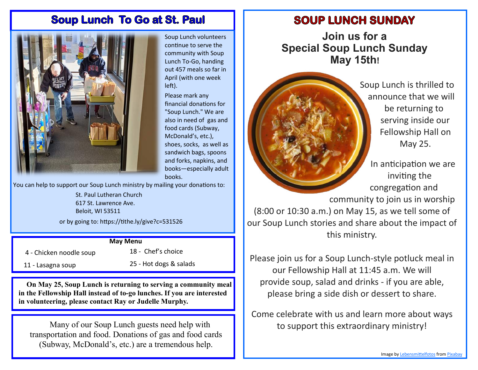# **Soup Lunch To Go at St. Paul**



Soup Lunch volunteers continue to serve the community with Soup Lunch To-Go, handing out 457 meals so far in April (with one week left).

Please mark any financial donations for "Soup Lunch." We are also in need of gas and food cards (Subway, McDonald's, etc.), shoes, socks, as well as sandwich bags, spoons and forks, napkins, and books-especially adult books.

You can help to support our Soup Lunch ministry by mailing your donations to:

St. Paul Lutheran Church 617 St. Lawrence Ave. Beloit, WI 53511

or by going to: https://tithe.ly/give?c=531526

### **May Menu**

4 - Chicken noodle soup

18 - Chef's choice

11 - Lasagna soup

25 - Hot dogs & salads

On May 25, Soup Lunch is returning to serving a community meal in the Fellowship Hall instead of to-go lunches. If you are interested in volunteering, please contact Ray or Judelle Murphy.

Many of our Soup Lunch guests need help with transportation and food. Donations of gas and food cards (Subway, McDonald's, etc.) are a tremendous help.

# **SOUP LUNCH SUNDAY**

Join us for a **Special Soup Lunch Sunday** May 15th!



Soup Lunch is thrilled to announce that we will be returning to serving inside our Fellowship Hall on May 25.

In anticipation we are inviting the congregation and community to join us in worship  $(8:00 \text{ or } 10:30 \text{ a.m.})$  on May 15, as we tell some of our Soup Lunch stories and share about the impact of this ministry.

Please join us for a Soup Lunch-style potluck meal in our Fellowship Hall at 11:45 a.m. We will provide soup, salad and drinks - if you are able, please bring a side dish or dessert to share.

Come celebrate with us and learn more about ways to support this extraordinary ministry!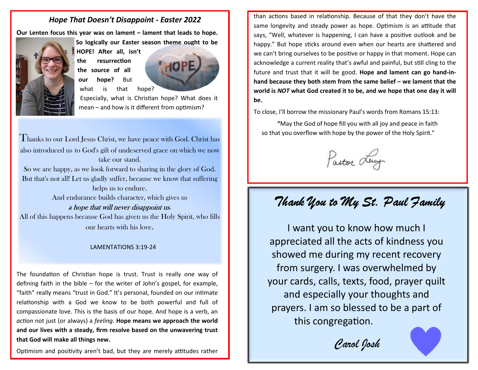# **Hope That Doesn't Disappoint - Easter 2022**

Our Lenten focus this year was on lament - lament that leads to hope.



So logically our Easter season theme ought to be

HOPE! After all, isn't the resurrection the source of all hope? **But** our what is that



Especially, what is Christian hope? What does it mean - and how is it different from optimism?

Thanks to our Lord Jesus Christ, we have peace with God. Christ has also introduced us to God's gift of undeserved grace on which we now take our stand.

So we are happy, as we look forward to sharing in the glory of God. But that's not all! Let us gladly suffer, because we know that suffering helps us to endure.

And endurance builds character, which gives us

## a hope that will never disappoint us.

All of this happens because God has given us the Holy Spirit, who fills our hearts with his love.

### **LAMENTATIONS 3:19-24**

The foundation of Christian hope is trust. Trust is really one way of defining faith in the bible – for the writer of John's gospel, for example, "faith" really means "trust in God." It's personal, founded on our intimate relationship with a God we know to be both powerful and full of compassionate love. This is the basis of our hope. And hope is a verb, an *action* not just (or always) a *feeling*. **Hope means we approach the world** and our lives with a steady, firm resolve based on the unwavering trust that God will make all things new.

Optimism and positivity aren't bad, but they are merely attitudes rather

than actions based in relationship. Because of that they don't have the same longevity and steady power as hope. Optimism is an attitude that says, "Well, whatever is happening, I can have a positive outlook and be happy." But hope sticks around even when our hearts are shattered and we can't bring ourselves to be positive or happy in that moment. Hope can acknowledge a current reality that's awful and painful, but still cling to the future and trust that it will be good. Hope and lament can go hand-inhand because they both stem from the same belief - we lament that the world is NOT what God created it to be, and we hope that one day it will be.

To close, I'll borrow the missionary Paul's words from Romans 15:13:

"May the God of hope fill you with all joy and peace in faith so that you overflow with hope by the power of the Holy Spirit."

Pastor Luy

# Thank You to My St. Paul Family

I want you to know how much I appreciated all the acts of kindness you showed me during my recent recovery from surgery. I was overwhelmed by your cards, calls, texts, food, prayer quilt and especially your thoughts and prayers. I am so blessed to be a part of this congregation.

Carol Josh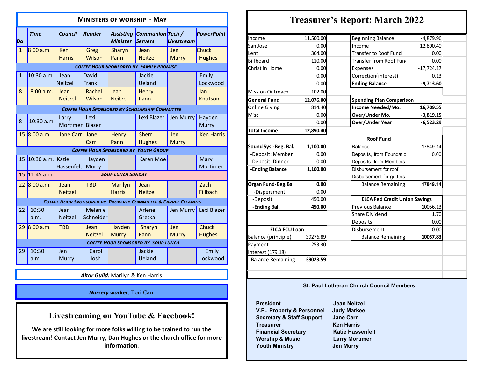| <b>MINISTERS OF WORSHIP - MAY</b> |                                                                          |                        |                        |                                     |                                                       |                            |                         |
|-----------------------------------|--------------------------------------------------------------------------|------------------------|------------------------|-------------------------------------|-------------------------------------------------------|----------------------------|-------------------------|
| Da                                | <b>Time</b>                                                              | <b>Council</b>         | Reader                 | <b>Assisting</b><br><b>Minister</b> | Communion Tech /<br>Servers                           | Livestream                 | <b>PowerPoint</b>       |
| $\mathbf{1}$                      | 8:00 a.m.                                                                | Ken<br><b>Harris</b>   | Greg<br>Wilson         | Sharyn<br>Pann                      | Jean<br><b>Neitzel</b>                                | <b>Jen</b><br><b>Murry</b> | Chuck<br><b>Hughes</b>  |
|                                   |                                                                          |                        |                        |                                     | <b>COFFEE HOUR SPONSORED BY FAMILY PROMISE</b>        |                            |                         |
| $\mathbf{1}$                      | 10:30 a.m.                                                               | Jean<br>Neitzel        | David<br>Frank         |                                     | Jackie<br>Ueland                                      |                            | Emily<br>Lockwood       |
| 8                                 | 8:00 a.m.                                                                | Jean<br><b>Neitzel</b> | Rachel<br>Wilson       | Jean<br><b>Neitzel</b>              | <b>Henry</b><br>Pann                                  |                            | Jan<br><b>Knutson</b>   |
|                                   |                                                                          |                        |                        |                                     | <b>COFFEE HOUR SPONSORED BY SCHOLARSHIP COMMITTEE</b> |                            |                         |
| 8                                 | $10:30$ a.m.                                                             | Larry<br>Mortimer      | Lexi<br><b>Blazer</b>  |                                     | Lexi Blazer                                           | Jen Murry                  | Hayden<br>Murry         |
| 15                                | 8:00 a.m.                                                                | Jane Carr              | Jane<br>Carr           | Henry<br>Pann                       | Sherri<br><b>Hughes</b>                               | Jen<br><b>Murry</b>        | <b>Ken Harris</b>       |
|                                   |                                                                          |                        |                        |                                     | <b>COFFEE HOUR SPONSORED BY YOUTH GROUP</b>           |                            |                         |
| 15                                | $10:30$ a.m.                                                             | Katie<br>Hassenfelt    | Hayden<br>Murry        |                                     | <b>Karen Moe</b>                                      |                            | Mary<br>Mortimer        |
| 15                                | $11:45$ a.m.                                                             |                        |                        | <b>SOUP LUNCH SUNDAY</b>            |                                                       |                            |                         |
| 22                                | 8:00 a.m.                                                                | Jean<br><b>Neitzel</b> | <b>TBD</b>             | <b>Marilyn</b><br><b>Harris</b>     | Jean<br><b>Neitzel</b>                                |                            | Zach<br><b>Fillbach</b> |
|                                   | <b>COFFEE HOUR SPONSORED BY PROPERTY COMMITTEE &amp; CARPET CLEANING</b> |                        |                        |                                     |                                                       |                            |                         |
| 22                                | 10:30<br>a.m.                                                            | Jean<br><b>Neitzel</b> | Melanie<br>Schneider   |                                     | Arlene<br>Gretka                                      | Jen Murry                  | Lexi Blazer             |
| 29                                | 8:00 a.m.                                                                | <b>TBD</b>             | Jean<br><b>Neitzel</b> | Hayden<br><b>Murry</b>              | Sharyn<br>Pann                                        | Jen<br><b>Murry</b>        | Chuck<br><b>Hughes</b>  |
|                                   | <b>COFFEE HOUR SPONSORED BY SOUP LUNCH</b>                               |                        |                        |                                     |                                                       |                            |                         |
| 29                                | 10:30<br>a.m.                                                            | Jen<br>Murry           | Carol<br>Josh          |                                     | Jackie<br>Ueland                                      |                            | Emily<br>Lockwood       |

Altar Guild: Marilyn & Ken Harris

### Nursery worker: Tori Carr

# Livestreaming on YouTube & Facebook!

We are still looking for more folks willing to be trained to run the livestream! Contact Jen Murry, Dan Hughes or the church office for more information.

# Treasurer's Report: March 2022

| Income                   | 11,500.00                    | <b>Beginning Balance</b>             | $-4,879.96$  |  |  |  |
|--------------------------|------------------------------|--------------------------------------|--------------|--|--|--|
| San Jose                 | 0.00                         | Income                               | 12,890.40    |  |  |  |
| Lent                     | 364.00                       | Transfer to Roof Fund                | 0.00         |  |  |  |
| <b>Billboard</b>         | 110.00                       | Transfer from Roof Fund              | 0.00         |  |  |  |
| Christ in Home           | 0.00                         | <b>Expenses</b>                      | $-17,724.17$ |  |  |  |
|                          | 0.00<br>Correction(interest) |                                      | 0.13         |  |  |  |
|                          | 0.00                         | <b>Ending Balance</b>                | $-9,713.60$  |  |  |  |
| <b>Mission Outreach</b>  | 102.00                       |                                      |              |  |  |  |
| <b>General Fund</b>      | 12,076.00                    | <b>Spending Plan Comparison</b>      |              |  |  |  |
| <b>Online Giving</b>     | 814.40                       | Income Needed/Mo.                    | 16,709.55    |  |  |  |
| Misc                     | 0.00                         | Over/Under Mo.                       | $-3,819.15$  |  |  |  |
|                          | 0.00                         | <b>Over/Under Year</b>               | $-6,523.29$  |  |  |  |
| <b>Total Income</b>      | 12,890.40                    |                                      |              |  |  |  |
|                          |                              | <b>Roof Fund</b>                     |              |  |  |  |
| Sound Sys.-Beg. Bal.     | 1,100.00                     | Balance                              | 17849.14     |  |  |  |
| -Deposit: Member         | 0.00                         | Deposits, from Foundatio             | 0.00         |  |  |  |
| -Deposit: Dinner         | 0.00                         | Deposits, from Members               |              |  |  |  |
| -Ending Balance          | 1,100.00                     | Disbursement for roof                |              |  |  |  |
|                          |                              | Disbursement for gutters             |              |  |  |  |
| Organ Fund-Beg.Bal       | 0.00                         | <b>Balance Remaining</b>             | 17849.14     |  |  |  |
| -Dispersment             | 0.00                         |                                      |              |  |  |  |
| -Deposit                 | 450.00                       | <b>ELCA Fed Credit Union Savings</b> |              |  |  |  |
| -Ending Bal.             | 450.00                       | Previous Balance                     | 10056.13     |  |  |  |
|                          |                              | <b>Share Dividend</b>                | 1.70         |  |  |  |
|                          |                              | Deposits                             | 0.00         |  |  |  |
| <b>ELCA FCU Loan</b>     |                              | Disbursement                         | 0.00         |  |  |  |
| Balance (principle)      | 39276.89                     | <b>Balance Remaining</b>             | 10057.83     |  |  |  |
| Payment                  | $-253.30$                    |                                      |              |  |  |  |
| Interest (179.18)        |                              |                                      |              |  |  |  |
| <b>Balance Remaining</b> | 39023.59                     |                                      |              |  |  |  |
|                          |                              |                                      |              |  |  |  |
|                          |                              |                                      |              |  |  |  |

#### St. Paul Lutheran Church Council Members

**President** Jean Neitzel<br>1912 V.P., Property & Personnel Judy Markee V.P., Property & Personnel Secretary & Staff Support Jane Carr Treasurer **Ken Harris Financial Secretary** Worship & Music Youth Ministry **Contact Service Service Service Service Service Service Service Service Service Service Service** 

Katie Hassenfelt Larry Mortimer